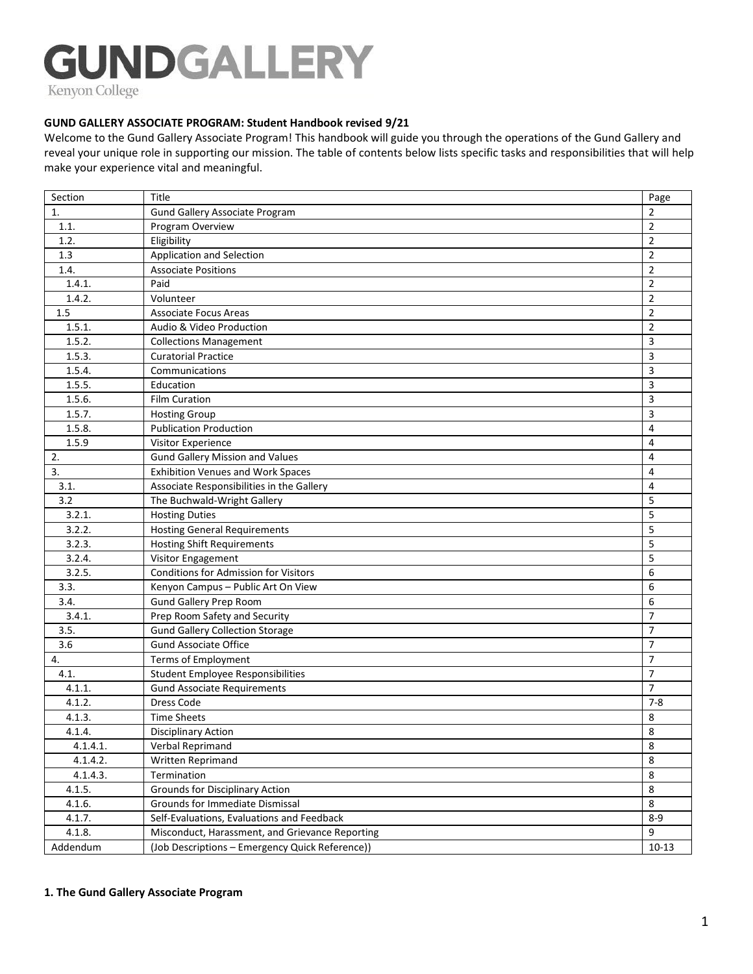# **GUNDGALLERY**

Kenyon College

#### **GUND GALLERY ASSOCIATE PROGRAM: Student Handbook revised 9/21**

Welcome to the Gund Gallery Associate Program! This handbook will guide you through the operations of the Gund Gallery and reveal your unique role in supporting our mission. The table of contents below lists specific tasks and responsibilities that will help make your experience vital and meaningful.

| Section  | Title                                                              | Page           |
|----------|--------------------------------------------------------------------|----------------|
| 1.       | Gund Gallery Associate Program                                     | 2              |
| 1.1.     | Program Overview                                                   | $\overline{2}$ |
| 1.2.     | Eligibility                                                        | $\overline{2}$ |
| 1.3      | Application and Selection                                          | $\overline{2}$ |
| 1.4.     | <b>Associate Positions</b>                                         | $\overline{2}$ |
| 1.4.1.   | Paid                                                               | $\overline{2}$ |
| 1.4.2.   | Volunteer                                                          | $\overline{2}$ |
| 1.5      | <b>Associate Focus Areas</b>                                       | $\overline{2}$ |
| 1.5.1.   | Audio & Video Production                                           | $\overline{2}$ |
| 1.5.2.   | <b>Collections Management</b>                                      | 3              |
| 1.5.3.   | <b>Curatorial Practice</b>                                         | 3              |
| 1.5.4.   | Communications                                                     | 3              |
| 1.5.5.   | Education                                                          | 3              |
| 1.5.6.   | <b>Film Curation</b>                                               | 3              |
| 1.5.7.   | <b>Hosting Group</b>                                               | 3              |
| 1.5.8.   | <b>Publication Production</b>                                      | $\overline{4}$ |
| 1.5.9    | Visitor Experience                                                 | 4              |
| 2.       | <b>Gund Gallery Mission and Values</b>                             | 4              |
| 3.       | <b>Exhibition Venues and Work Spaces</b>                           | $\overline{4}$ |
| 3.1.     | Associate Responsibilities in the Gallery                          | 4              |
| 3.2      | The Buchwald-Wright Gallery                                        | 5              |
| 3.2.1.   | <b>Hosting Duties</b>                                              | 5              |
| 3.2.2.   | <b>Hosting General Requirements</b>                                | 5              |
| 3.2.3.   | <b>Hosting Shift Requirements</b>                                  | 5              |
| 3.2.4.   | Visitor Engagement                                                 | 5              |
| 3.2.5.   | Conditions for Admission for Visitors                              | 6              |
| 3.3.     | Kenyon Campus - Public Art On View                                 | 6              |
| 3.4.     | Gund Gallery Prep Room                                             | 6              |
| 3.4.1.   | Prep Room Safety and Security                                      | $\overline{7}$ |
| 3.5.     | <b>Gund Gallery Collection Storage</b>                             | $\overline{7}$ |
| 3.6      | <b>Gund Associate Office</b>                                       | $\overline{7}$ |
| 4.       | Terms of Employment                                                | $\overline{7}$ |
| 4.1.     | <b>Student Employee Responsibilities</b>                           | $\overline{7}$ |
| 4.1.1.   | <b>Gund Associate Requirements</b>                                 | $\overline{7}$ |
| 4.1.2.   | Dress Code                                                         | $7 - 8$        |
| 4.1.3.   | <b>Time Sheets</b>                                                 | 8              |
| 4.1.4.   | Disciplinary Action                                                | 8              |
| 4.1.4.1. | Verbal Reprimand                                                   | 8              |
| 4.1.4.2. | Written Reprimand                                                  | 8              |
| 4.1.4.3. | Termination                                                        | $\,8\,$        |
|          |                                                                    | $\,8\,$        |
| 4.1.5.   | Grounds for Disciplinary Action<br>Grounds for Immediate Dismissal |                |
| 4.1.6.   |                                                                    | 8              |
| 4.1.7.   | Self-Evaluations, Evaluations and Feedback                         | $8 - 9$        |
| 4.1.8.   | Misconduct, Harassment, and Grievance Reporting                    | 9              |
| Addendum | (Job Descriptions - Emergency Quick Reference))                    | $10 - 13$      |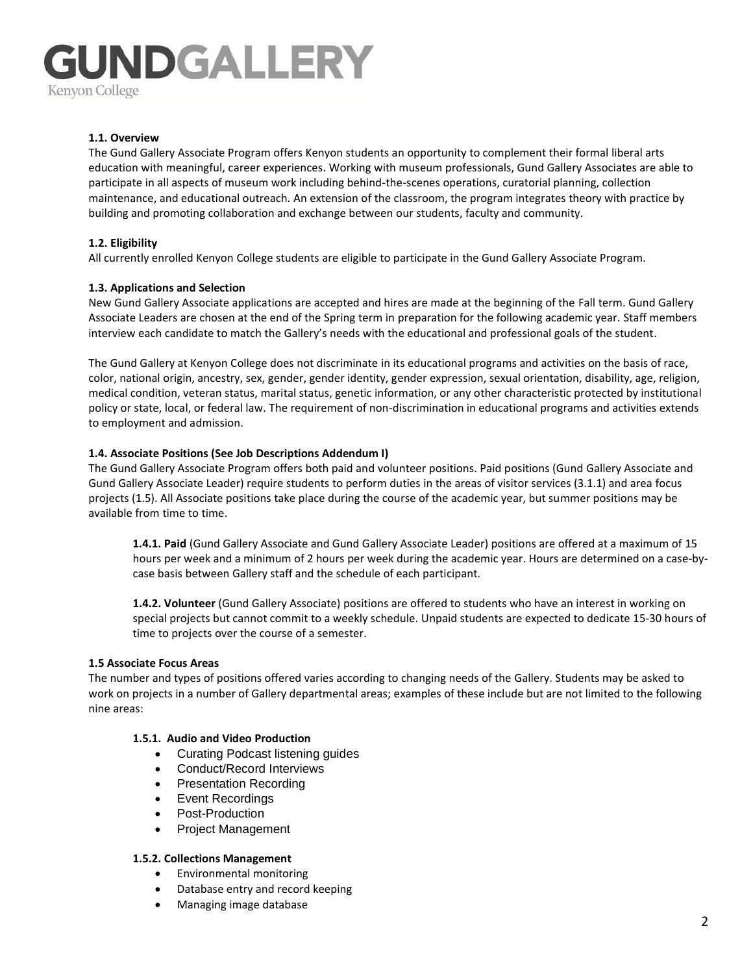#### **1.1. Overview**

The Gund Gallery Associate Program offers Kenyon students an opportunity to complement their formal liberal arts education with meaningful, career experiences. Working with museum professionals, Gund Gallery Associates are able to participate in all aspects of museum work including behind-the-scenes operations, curatorial planning, collection maintenance, and educational outreach. An extension of the classroom, the program integrates theory with practice by building and promoting collaboration and exchange between our students, faculty and community.

#### **1.2. Eligibility**

All currently enrolled Kenyon College students are eligible to participate in the Gund Gallery Associate Program.

#### **1.3. Applications and Selection**

New Gund Gallery Associate applications are accepted and hires are made at the beginning of the Fall term. Gund Gallery Associate Leaders are chosen at the end of the Spring term in preparation for the following academic year. Staff members interview each candidate to match the Gallery's needs with the educational and professional goals of the student.

The Gund Gallery at Kenyon College does not discriminate in its educational programs and activities on the basis of race, color, national origin, ancestry, sex, gender, gender identity, gender expression, sexual orientation, disability, age, religion, medical condition, veteran status, marital status, genetic information, or any other characteristic protected by institutional policy or state, local, or federal law. The requirement of non-discrimination in educational programs and activities extends to employment and admission.

#### **1.4. Associate Positions (See Job Descriptions Addendum I)**

The Gund Gallery Associate Program offers both paid and volunteer positions. Paid positions (Gund Gallery Associate and Gund Gallery Associate Leader) require students to perform duties in the areas of visitor services (3.1.1) and area focus projects (1.5). All Associate positions take place during the course of the academic year, but summer positions may be available from time to time.

**1.4.1. Paid** (Gund Gallery Associate and Gund Gallery Associate Leader) positions are offered at a maximum of 15 hours per week and a minimum of 2 hours per week during the academic year. Hours are determined on a case-bycase basis between Gallery staff and the schedule of each participant.

**1.4.2. Volunteer** (Gund Gallery Associate) positions are offered to students who have an interest in working on special projects but cannot commit to a weekly schedule. Unpaid students are expected to dedicate 15-30 hours of time to projects over the course of a semester.

#### **1.5 Associate Focus Areas**

The number and types of positions offered varies according to changing needs of the Gallery. Students may be asked to work on projects in a number of Gallery departmental areas; examples of these include but are not limited to the following nine areas:

#### **1.5.1. Audio and Video Production**

- Curating Podcast listening guides
- Conduct/Record Interviews
- Presentation Recording
- Event Recordings
- Post-Production
- Project Management

#### **1.5.2. Collections Management**

- Environmental monitoring
- Database entry and record keeping
- Managing image database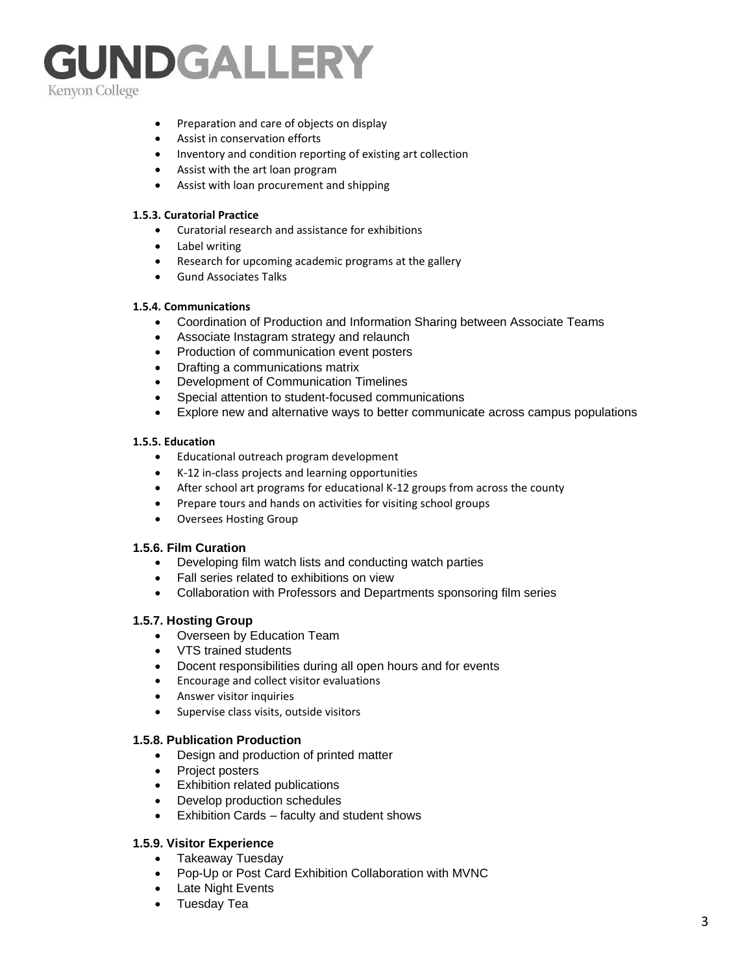- Preparation and care of objects on display
- Assist in conservation efforts
- Inventory and condition reporting of existing art collection
- Assist with the art loan program
- Assist with loan procurement and shipping

#### **1.5.3. Curatorial Practice**

- Curatorial research and assistance for exhibitions
- Label writing
- Research for upcoming academic programs at the gallery
- Gund Associates Talks

#### **1.5.4. Communications**

- Coordination of Production and Information Sharing between Associate Teams
- Associate Instagram strategy and relaunch
- Production of communication event posters
- Drafting a communications matrix
- Development of Communication Timelines
- Special attention to student-focused communications
- Explore new and alternative ways to better communicate across campus populations

#### **1.5.5. Education**

- Educational outreach program development
- K-12 in-class projects and learning opportunities
- After school art programs for educational K-12 groups from across the county
- Prepare tours and hands on activities for visiting school groups
- Oversees Hosting Group

#### **1.5.6. Film Curation**

- Developing film watch lists and conducting watch parties
- Fall series related to exhibitions on view
- Collaboration with Professors and Departments sponsoring film series

#### **1.5.7. Hosting Group**

- Overseen by Education Team
- VTS trained students
- Docent responsibilities during all open hours and for events
- Encourage and collect visitor evaluations
- Answer visitor inquiries
- Supervise class visits, outside visitors

#### **1.5.8. Publication Production**

- Design and production of printed matter
- Project posters
- Exhibition related publications
- Develop production schedules
- Exhibition Cards faculty and student shows

#### **1.5.9. Visitor Experience**

- Takeaway Tuesday
- Pop-Up or Post Card Exhibition Collaboration with MVNC
- Late Night Events
- Tuesday Tea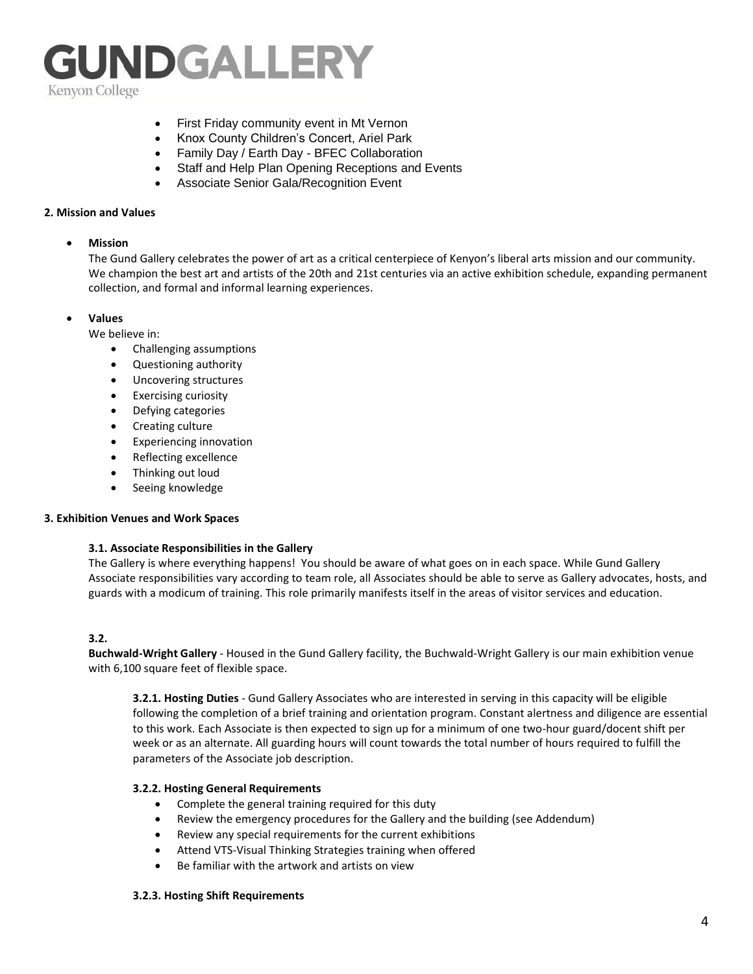

- First Friday community event in Mt Vernon
- Knox County Children's Concert, Ariel Park
- Family Day / Earth Day BFEC Collaboration
- Staff and Help Plan Opening Receptions and Events
- Associate Senior Gala/Recognition Event

#### **2. Mission and Values**

#### • **Mission**

The Gund Gallery celebrates the power of art as a critical centerpiece of Kenyon's liberal arts mission and our community. We champion the best art and artists of the 20th and 21st centuries via an active exhibition schedule, expanding permanent collection, and formal and informal learning experiences.

#### • **Values**

We believe in:

- Challenging assumptions
- Questioning authority
- Uncovering structures
- Exercising curiosity
- Defying categories
- Creating culture
- Experiencing innovation
- Reflecting excellence
- Thinking out loud
- Seeing knowledge

#### **3. Exhibition Venues and Work Spaces**

#### **3.1. Associate Responsibilities in the Gallery**

The Gallery is where everything happens! You should be aware of what goes on in each space. While Gund Gallery Associate responsibilities vary according to team role, all Associates should be able to serve as Gallery advocates, hosts, and guards with a modicum of training. This role primarily manifests itself in the areas of visitor services and education.

#### **3.2.**

**Buchwald-Wright Gallery** - Housed in the Gund Gallery facility, the Buchwald-Wright Gallery is our main exhibition venue with 6,100 square feet of flexible space.

**3.2.1. Hosting Duties** - Gund Gallery Associates who are interested in serving in this capacity will be eligible following the completion of a brief training and orientation program. Constant alertness and diligence are essential to this work. Each Associate is then expected to sign up for a minimum of one two-hour guard/docent shift per week or as an alternate. All guarding hours will count towards the total number of hours required to fulfill the parameters of the Associate job description.

#### **3.2.2. Hosting General Requirements**

- Complete the general training required for this duty
- Review the emergency procedures for the Gallery and the building (see Addendum)
- Review any special requirements for the current exhibitions
- Attend VTS-Visual Thinking Strategies training when offered
- Be familiar with the artwork and artists on view

#### **3.2.3. Hosting Shift Requirements**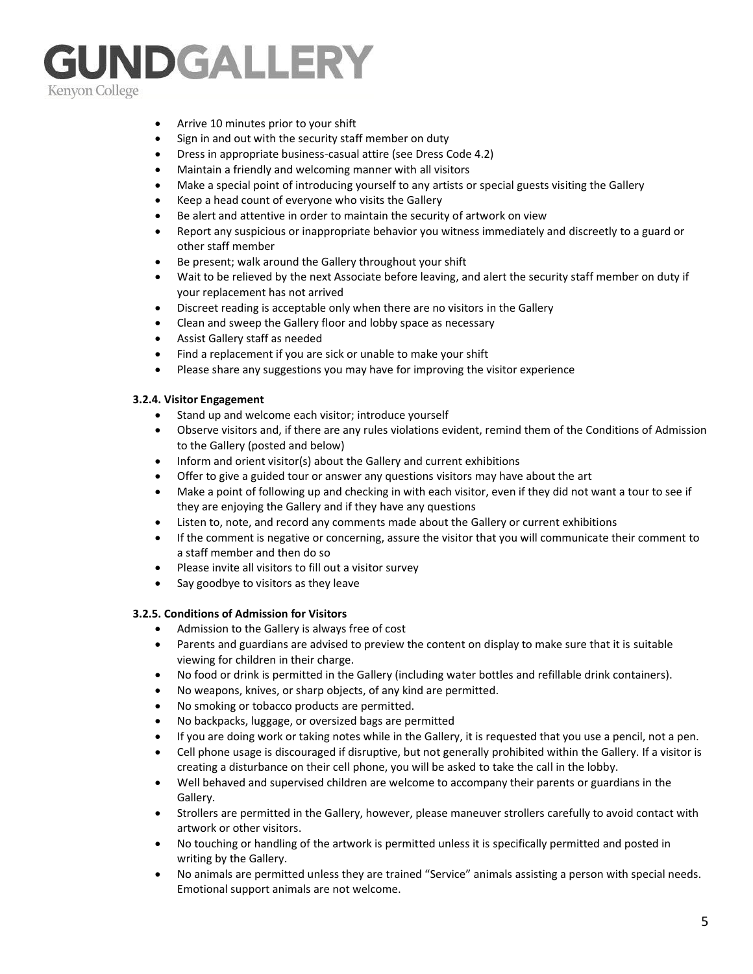- Arrive 10 minutes prior to your shift
- Sign in and out with the security staff member on duty
- Dress in appropriate business-casual attire (see Dress Code 4.2)
- Maintain a friendly and welcoming manner with all visitors
- Make a special point of introducing yourself to any artists or special guests visiting the Gallery
- Keep a head count of everyone who visits the Gallery
- Be alert and attentive in order to maintain the security of artwork on view
- Report any suspicious or inappropriate behavior you witness immediately and discreetly to a guard or other staff member
- Be present; walk around the Gallery throughout your shift
- Wait to be relieved by the next Associate before leaving, and alert the security staff member on duty if your replacement has not arrived
- Discreet reading is acceptable only when there are no visitors in the Gallery
- Clean and sweep the Gallery floor and lobby space as necessary
- Assist Gallery staff as needed
- Find a replacement if you are sick or unable to make your shift
- Please share any suggestions you may have for improving the visitor experience

#### **3.2.4. Visitor Engagement**

- Stand up and welcome each visitor; introduce yourself
- Observe visitors and, if there are any rules violations evident, remind them of the Conditions of Admission to the Gallery (posted and below)
- Inform and orient visitor(s) about the Gallery and current exhibitions
- Offer to give a guided tour or answer any questions visitors may have about the art
- Make a point of following up and checking in with each visitor, even if they did not want a tour to see if they are enjoying the Gallery and if they have any questions
- Listen to, note, and record any comments made about the Gallery or current exhibitions
- If the comment is negative or concerning, assure the visitor that you will communicate their comment to a staff member and then do so
- Please invite all visitors to fill out a visitor survey
- Say goodbye to visitors as they leave

#### **3.2.5. Conditions of Admission for Visitors**

- Admission to the Gallery is always free of cost
- Parents and guardians are advised to preview the content on display to make sure that it is suitable viewing for children in their charge.
- No food or drink is permitted in the Gallery (including water bottles and refillable drink containers).
- No weapons, knives, or sharp objects, of any kind are permitted.
- No smoking or tobacco products are permitted.
- No backpacks, luggage, or oversized bags are permitted
- If you are doing work or taking notes while in the Gallery, it is requested that you use a pencil, not a pen.
- Cell phone usage is discouraged if disruptive, but not generally prohibited within the Gallery. If a visitor is creating a disturbance on their cell phone, you will be asked to take the call in the lobby.
- Well behaved and supervised children are welcome to accompany their parents or guardians in the Gallery.
- Strollers are permitted in the Gallery, however, please maneuver strollers carefully to avoid contact with artwork or other visitors.
- No touching or handling of the artwork is permitted unless it is specifically permitted and posted in writing by the Gallery.
- No animals are permitted unless they are trained "Service" animals assisting a person with special needs. Emotional support animals are not welcome.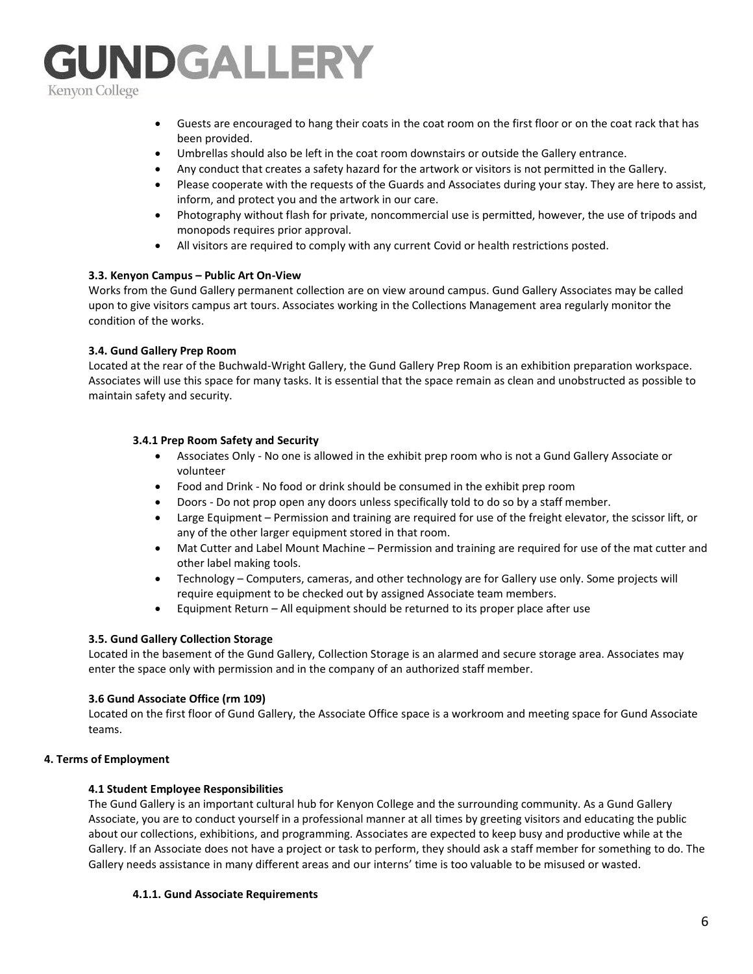- Guests are encouraged to hang their coats in the coat room on the first floor or on the coat rack that has been provided.
- Umbrellas should also be left in the coat room downstairs or outside the Gallery entrance.
- Any conduct that creates a safety hazard for the artwork or visitors is not permitted in the Gallery.
- Please cooperate with the requests of the Guards and Associates during your stay. They are here to assist, inform, and protect you and the artwork in our care.
- Photography without flash for private, noncommercial use is permitted, however, the use of tripods and monopods requires prior approval.
- All visitors are required to comply with any current Covid or health restrictions posted.

#### **3.3. Kenyon Campus – Public Art On-View**

Works from the Gund Gallery permanent collection are on view around campus. Gund Gallery Associates may be called upon to give visitors campus art tours. Associates working in the Collections Management area regularly monitor the condition of the works.

#### **3.4. Gund Gallery Prep Room**

Located at the rear of the Buchwald-Wright Gallery, the Gund Gallery Prep Room is an exhibition preparation workspace. Associates will use this space for many tasks. It is essential that the space remain as clean and unobstructed as possible to maintain safety and security.

#### **3.4.1 Prep Room Safety and Security**

- Associates Only No one is allowed in the exhibit prep room who is not a Gund Gallery Associate or volunteer
- Food and Drink No food or drink should be consumed in the exhibit prep room
- Doors Do not prop open any doors unless specifically told to do so by a staff member.
- Large Equipment Permission and training are required for use of the freight elevator, the scissor lift, or any of the other larger equipment stored in that room.
- Mat Cutter and Label Mount Machine Permission and training are required for use of the mat cutter and other label making tools.
- Technology Computers, cameras, and other technology are for Gallery use only. Some projects will require equipment to be checked out by assigned Associate team members.
- Equipment Return All equipment should be returned to its proper place after use

#### **3.5. Gund Gallery Collection Storage**

Located in the basement of the Gund Gallery, Collection Storage is an alarmed and secure storage area. Associates may enter the space only with permission and in the company of an authorized staff member.

#### **3.6 Gund Associate Office (rm 109)**

Located on the first floor of Gund Gallery, the Associate Office space is a workroom and meeting space for Gund Associate teams.

#### **4. Terms of Employment**

#### **4.1 Student Employee Responsibilities**

The Gund Gallery is an important cultural hub for Kenyon College and the surrounding community. As a Gund Gallery Associate, you are to conduct yourself in a professional manner at all times by greeting visitors and educating the public about our collections, exhibitions, and programming. Associates are expected to keep busy and productive while at the Gallery. If an Associate does not have a project or task to perform, they should ask a staff member for something to do. The Gallery needs assistance in many different areas and our interns' time is too valuable to be misused or wasted.

#### **4.1.1. Gund Associate Requirements**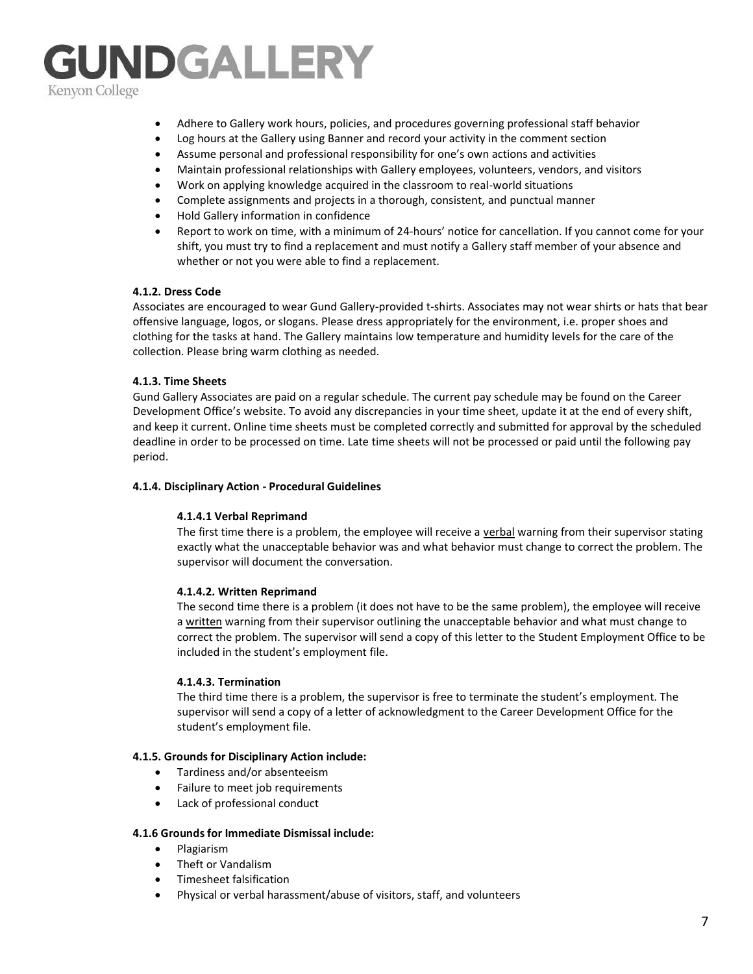- Adhere to Gallery work hours, policies, and procedures governing professional staff behavior
- Log hours at the Gallery using Banner and record your activity in the comment section
- Assume personal and professional responsibility for one's own actions and activities
- Maintain professional relationships with Gallery employees, volunteers, vendors, and visitors
- Work on applying knowledge acquired in the classroom to real-world situations
- Complete assignments and projects in a thorough, consistent, and punctual manner
- Hold Gallery information in confidence
- Report to work on time, with a minimum of 24-hours' notice for cancellation. If you cannot come for your shift, you must try to find a replacement and must notify a Gallery staff member of your absence and whether or not you were able to find a replacement.

#### **4.1.2. Dress Code**

Associates are encouraged to wear Gund Gallery-provided t-shirts. Associates may not wear shirts or hats that bear offensive language, logos, or slogans. Please dress appropriately for the environment, i.e. proper shoes and clothing for the tasks at hand. The Gallery maintains low temperature and humidity levels for the care of the collection. Please bring warm clothing as needed.

#### **4.1.3. Time Sheets**

Gund Gallery Associates are paid on a regular schedule. The current pay schedule may be found on the Career Development Office's website. To avoid any discrepancies in your time sheet, update it at the end of every shift, and keep it current. Online time sheets must be completed correctly and submitted for approval by the scheduled deadline in order to be processed on time. Late time sheets will not be processed or paid until the following pay period.

#### **4.1.4. Disciplinary Action - Procedural Guidelines**

#### **4.1.4.1 Verbal Reprimand**

The first time there is a problem, the employee will receive a verbal warning from their supervisor stating exactly what the unacceptable behavior was and what behavior must change to correct the problem. The supervisor will document the conversation.

#### **4.1.4.2. Written Reprimand**

The second time there is a problem (it does not have to be the same problem), the employee will receive a written warning from their supervisor outlining the unacceptable behavior and what must change to correct the problem. The supervisor will send a copy of this letter to the Student Employment Office to be included in the student's employment file.

#### **4.1.4.3. Termination**

The third time there is a problem, the supervisor is free to terminate the student's employment. The supervisor will send a copy of a letter of acknowledgment to the Career Development Office for the student's employment file.

#### **4.1.5. Grounds for Disciplinary Action include:**

- Tardiness and/or absenteeism
- Failure to meet job requirements
- Lack of professional conduct

#### **4.1.6 Grounds for Immediate Dismissal include:**

- Plagiarism
- Theft or Vandalism
- Timesheet falsification
- Physical or verbal harassment/abuse of visitors, staff, and volunteers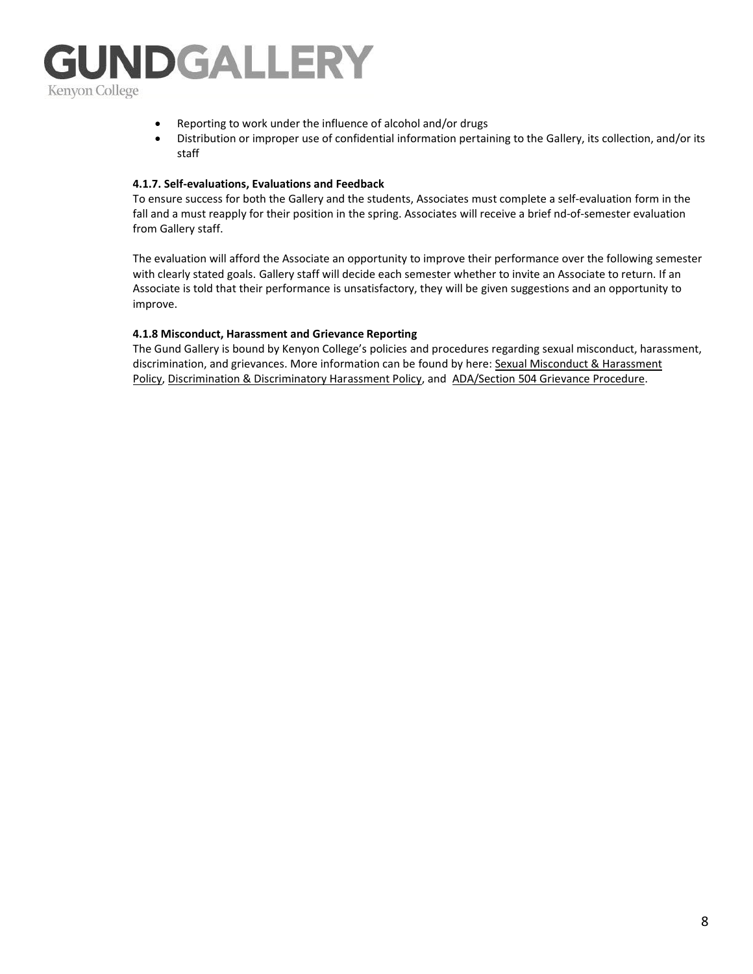

- Reporting to work under the influence of alcohol and/or drugs
- Distribution or improper use of confidential information pertaining to the Gallery, its collection, and/or its staff

#### **4.1.7. Self-evaluations, Evaluations and Feedback**

To ensure success for both the Gallery and the students, Associates must complete a self-evaluation form in the fall and a must reapply for their position in the spring. Associates will receive a brief nd-of-semester evaluation from Gallery staff.

The evaluation will afford the Associate an opportunity to improve their performance over the following semester with clearly stated goals. Gallery staff will decide each semester whether to invite an Associate to return. If an Associate is told that their performance is unsatisfactory, they will be given suggestions and an opportunity to improve.

#### **4.1.8 Misconduct, Harassment and Grievance Reporting**

The Gund Gallery is bound by Kenyon College's policies and procedures regarding sexual misconduct, harassment, discrimination, and grievances. More information can be found by here[: Sexual Misconduct & Harassment](https://www.kenyon.edu/directories/offices-services/ocr/title-ix-vawa/)  [Policy,](https://www.kenyon.edu/directories/offices-services/ocr/title-ix-vawa/) [Discrimination & Discriminatory Harassment Policy,](https://www.kenyon.edu/directories/offices-services/ocr/discrimination/discrimination-policies/) and [ADA/Section 504 Grievance Procedure.](https://www.kenyon.edu/directories/offices-services/ocr/discrimination/504-ada-grievance/)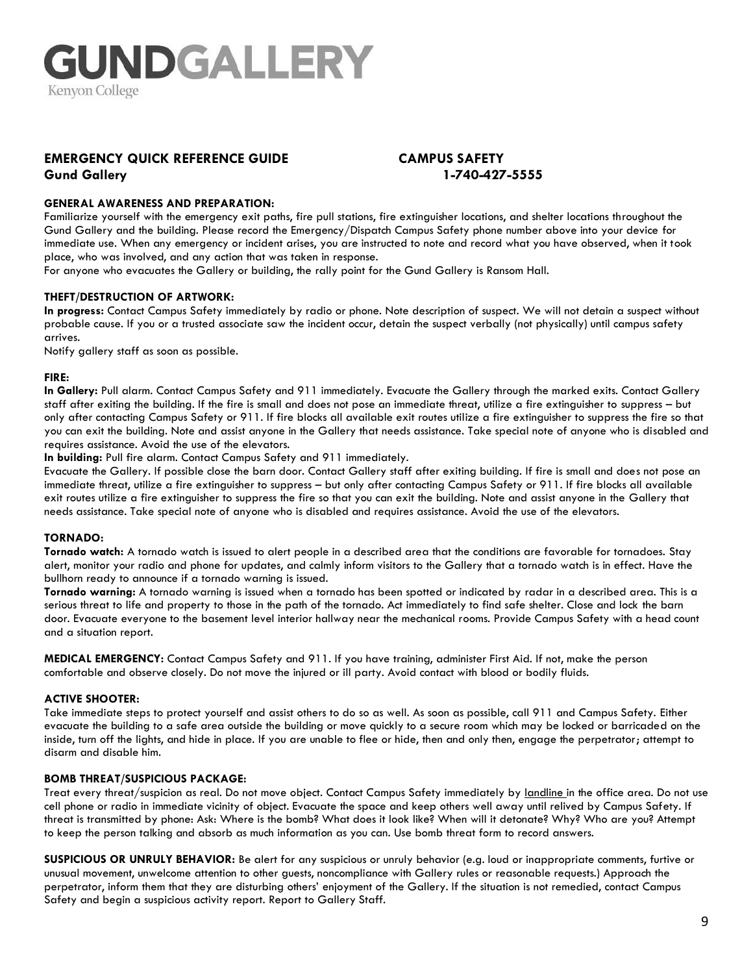### **EMERGENCY QUICK REFERENCE GUIDE CAMPUS SAFETY**

### **Gund Gallery 1-740-427-5555**

#### **GENERAL AWARENESS AND PREPARATION:**

Familiarize yourself with the emergency exit paths, fire pull stations, fire extinguisher locations, and shelter locations throughout the Gund Gallery and the building. Please record the Emergency/Dispatch Campus Safety phone number above into your device for immediate use. When any emergency or incident arises, you are instructed to note and record what you have observed, when it took place, who was involved, and any action that was taken in response.

For anyone who evacuates the Gallery or building, the rally point for the Gund Gallery is Ransom Hall.

#### **THEFT/DESTRUCTION OF ARTWORK:**

**In progress:** Contact Campus Safety immediately by radio or phone. Note description of suspect. We will not detain a suspect without probable cause. If you or a trusted associate saw the incident occur, detain the suspect verbally (not physically) until campus safety arrives.

Notify gallery staff as soon as possible.

#### **FIRE:**

**In Gallery:** Pull alarm. Contact Campus Safety and 911 immediately. Evacuate the Gallery through the marked exits. Contact Gallery staff after exiting the building. If the fire is small and does not pose an immediate threat, utilize a fire extinguisher to suppress – but only after contacting Campus Safety or 911. If fire blocks all available exit routes utilize a fire extinguisher to suppress the fire so that you can exit the building. Note and assist anyone in the Gallery that needs assistance. Take special note of anyone who is disabled and requires assistance. Avoid the use of the elevators.

**In building:** Pull fire alarm. Contact Campus Safety and 911 immediately.

Evacuate the Gallery. If possible close the barn door. Contact Gallery staff after exiting building. If fire is small and does not pose an immediate threat, utilize a fire extinguisher to suppress – but only after contacting Campus Safety or 911. If fire blocks all available exit routes utilize a fire extinguisher to suppress the fire so that you can exit the building. Note and assist anyone in the Gallery that needs assistance. Take special note of anyone who is disabled and requires assistance. Avoid the use of the elevators.

#### **TORNADO:**

**Tornado watch:** A tornado watch is issued to alert people in a described area that the conditions are favorable for tornadoes. Stay alert, monitor your radio and phone for updates, and calmly inform visitors to the Gallery that a tornado watch is in effect. Have the bullhorn ready to announce if a tornado warning is issued.

**Tornado warning:** A tornado warning is issued when a tornado has been spotted or indicated by radar in a described area. This is a serious threat to life and property to those in the path of the tornado. Act immediately to find safe shelter. Close and lock the barn door. Evacuate everyone to the basement level interior hallway near the mechanical rooms. Provide Campus Safety with a head count and a situation report.

**MEDICAL EMERGENCY:** Contact Campus Safety and 911. If you have training, administer First Aid. If not, make the person comfortable and observe closely. Do not move the injured or ill party. Avoid contact with blood or bodily fluids.

#### **ACTIVE SHOOTER:**

Take immediate steps to protect yourself and assist others to do so as well. As soon as possible, call 911 and Campus Safety. Either evacuate the building to a safe area outside the building or move quickly to a secure room which may be locked or barricaded on the inside, turn off the lights, and hide in place. If you are unable to flee or hide, then and only then, engage the perpetrator; attempt to disarm and disable him.

#### **BOMB THREAT/SUSPICIOUS PACKAGE:**

Treat every threat/suspicion as real. Do not move object. Contact Campus Safety immediately by landline in the office area. Do not use cell phone or radio in immediate vicinity of object. Evacuate the space and keep others well away until relived by Campus Safety. If threat is transmitted by phone: Ask: Where is the bomb? What does it look like? When will it detonate? Why? Who are you? Attempt to keep the person talking and absorb as much information as you can. Use bomb threat form to record answers.

**SUSPICIOUS OR UNRULY BEHAVIOR:** Be alert for any suspicious or unruly behavior (e.g. loud or inappropriate comments, furtive or unusual movement, unwelcome attention to other guests, noncompliance with Gallery rules or reasonable requests.) Approach the perpetrator, inform them that they are disturbing others' enjoyment of the Gallery. If the situation is not remedied, contact Campus Safety and begin a suspicious activity report. Report to Gallery Staff.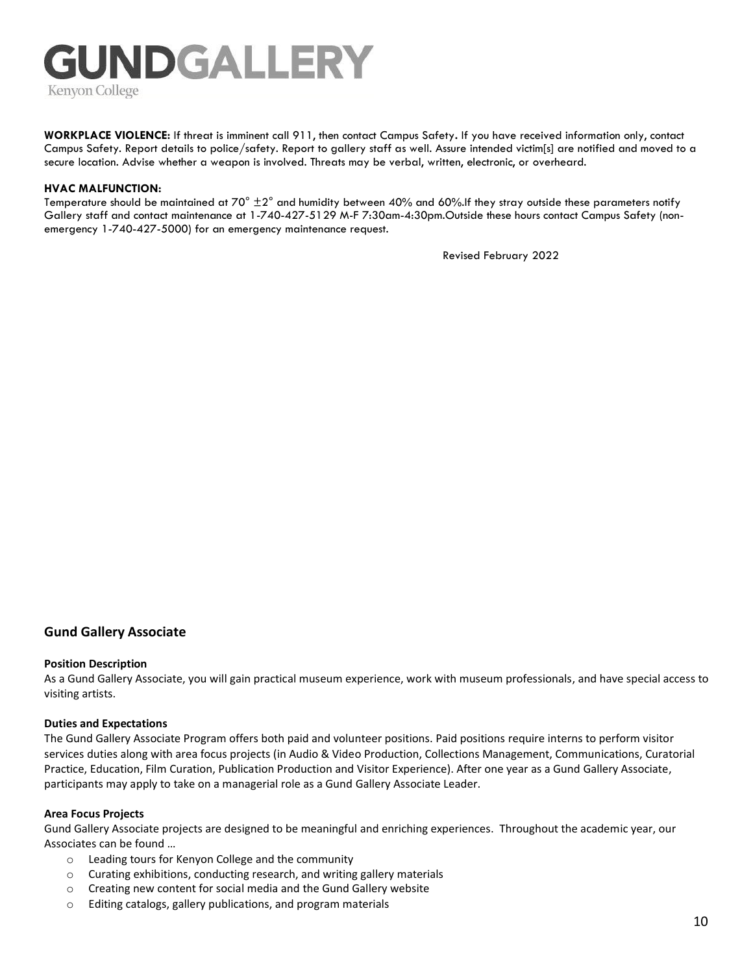**WORKPLACE VIOLENCE:** If threat is imminent call 911, then contact Campus Safety**.** If you have received information only, contact Campus Safety. Report details to police/safety. Report to gallery staff as well. Assure intended victim[s] are notified and moved to a secure location. Advise whether a weapon is involved. Threats may be verbal, written, electronic, or overheard.

#### **HVAC MALFUNCTION:**

Temperature should be maintained at  $70^\circ \pm 2^\circ$  and humidity between 40% and 60%.If they stray outside these parameters notify Gallery staff and contact maintenance at 1-740-427-5129 M-F 7:30am-4:30pm.Outside these hours contact Campus Safety (nonemergency 1-740-427-5000) for an emergency maintenance request.

Revised February 2022

#### **Gund Gallery Associate**

#### **Position Description**

As a Gund Gallery Associate, you will gain practical museum experience, work with museum professionals, and have special access to visiting artists.

#### **Duties and Expectations**

The Gund Gallery Associate Program offers both paid and volunteer positions. Paid positions require interns to perform visitor services duties along with area focus projects (in Audio & Video Production, Collections Management, Communications, Curatorial Practice, Education, Film Curation, Publication Production and Visitor Experience). After one year as a Gund Gallery Associate, participants may apply to take on a managerial role as a Gund Gallery Associate Leader.

#### **Area Focus Projects**

Gund Gallery Associate projects are designed to be meaningful and enriching experiences. Throughout the academic year, our Associates can be found …

- o Leading tours for Kenyon College and the community
- o Curating exhibitions, conducting research, and writing gallery materials
- o Creating new content for social media and the Gund Gallery website
- o Editing catalogs, gallery publications, and program materials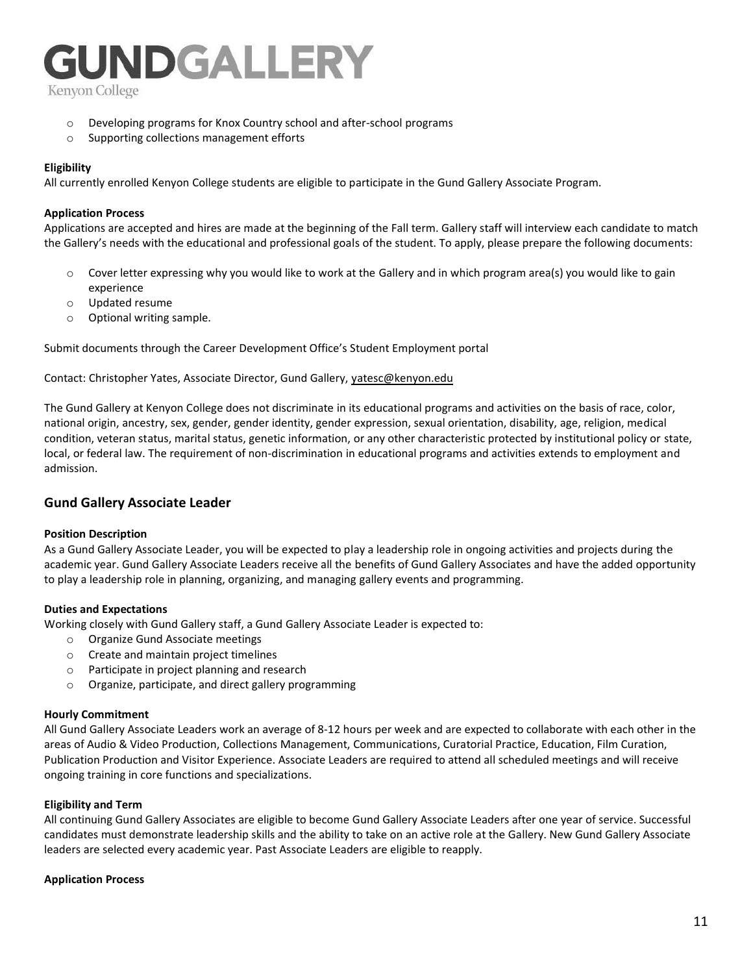## UNDGALLERY

Kenyon College

- o Developing programs for Knox Country school and after-school programs
- o Supporting collections management efforts

#### **Eligibility**

All currently enrolled Kenyon College students are eligible to participate in the Gund Gallery Associate Program.

#### **Application Process**

Applications are accepted and hires are made at the beginning of the Fall term. Gallery staff will interview each candidate to match the Gallery's needs with the educational and professional goals of the student. To apply, please prepare the following documents:

- $\circ$  Cover letter expressing why you would like to work at the Gallery and in which program area(s) you would like to gain experience
- o Updated resume
- o Optional writing sample.

Submit documents through the Career Development Office's Student Employment portal

Contact: Christopher Yates, Associate Director, Gund Gallery, [yatesc@kenyon.edu](mailto:yatesc@kenyon.edu) 

The Gund Gallery at Kenyon College does not discriminate in its educational programs and activities on the basis of race, color, national origin, ancestry, sex, gender, gender identity, gender expression, sexual orientation, disability, age, religion, medical condition, veteran status, marital status, genetic information, or any other characteristic protected by institutional policy or state, local, or federal law. The requirement of non-discrimination in educational programs and activities extends to employment and admission.

#### **Gund Gallery Associate Leader**

#### **Position Description**

As a Gund Gallery Associate Leader, you will be expected to play a leadership role in ongoing activities and projects during the academic year. Gund Gallery Associate Leaders receive all the benefits of Gund Gallery Associates and have the added opportunity to play a leadership role in planning, organizing, and managing gallery events and programming.

#### **Duties and Expectations**

Working closely with Gund Gallery staff, a Gund Gallery Associate Leader is expected to:

- o Organize Gund Associate meetings
- o Create and maintain project timelines
- o Participate in project planning and research
- o Organize, participate, and direct gallery programming

#### **Hourly Commitment**

All Gund Gallery Associate Leaders work an average of 8-12 hours per week and are expected to collaborate with each other in the areas of Audio & Video Production, Collections Management, Communications, Curatorial Practice, Education, Film Curation, Publication Production and Visitor Experience. Associate Leaders are required to attend all scheduled meetings and will receive ongoing training in core functions and specializations.

#### **Eligibility and Term**

All continuing Gund Gallery Associates are eligible to become Gund Gallery Associate Leaders after one year of service. Successful candidates must demonstrate leadership skills and the ability to take on an active role at the Gallery. New Gund Gallery Associate leaders are selected every academic year. Past Associate Leaders are eligible to reapply.

#### **Application Process**